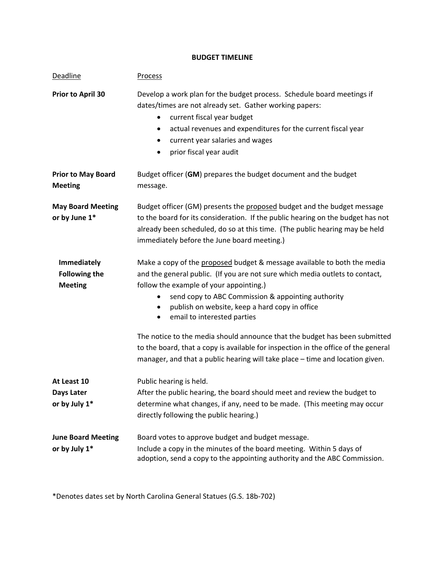## **BUDGET TIMELINE**

| <b>Deadline</b>                                              | <b>Process</b>                                                                                                                                                                                                                                                                                                                                          |
|--------------------------------------------------------------|---------------------------------------------------------------------------------------------------------------------------------------------------------------------------------------------------------------------------------------------------------------------------------------------------------------------------------------------------------|
| Prior to April 30                                            | Develop a work plan for the budget process. Schedule board meetings if<br>dates/times are not already set. Gather working papers:<br>current fiscal year budget<br>actual revenues and expenditures for the current fiscal year<br>٠<br>current year salaries and wages<br>٠<br>prior fiscal year audit<br>٠                                            |
| <b>Prior to May Board</b><br><b>Meeting</b>                  | Budget officer (GM) prepares the budget document and the budget<br>message.                                                                                                                                                                                                                                                                             |
| <b>May Board Meeting</b><br>or by June 1*                    | Budget officer (GM) presents the proposed budget and the budget message<br>to the board for its consideration. If the public hearing on the budget has not<br>already been scheduled, do so at this time. (The public hearing may be held<br>immediately before the June board meeting.)                                                                |
| <b>Immediately</b><br><b>Following the</b><br><b>Meeting</b> | Make a copy of the proposed budget & message available to both the media<br>and the general public. (If you are not sure which media outlets to contact,<br>follow the example of your appointing.)<br>send copy to ABC Commission & appointing authority<br>publish on website, keep a hard copy in office<br>email to interested parties<br>$\bullet$ |
|                                                              | The notice to the media should announce that the budget has been submitted<br>to the board, that a copy is available for inspection in the office of the general<br>manager, and that a public hearing will take place - time and location given.                                                                                                       |
| At Least 10<br>Days Later<br>or by July 1*                   | Public hearing is held.<br>After the public hearing, the board should meet and review the budget to<br>determine what changes, if any, need to be made. (This meeting may occur<br>directly following the public hearing.)                                                                                                                              |
| <b>June Board Meeting</b><br>or by July 1*                   | Board votes to approve budget and budget message.<br>Include a copy in the minutes of the board meeting. Within 5 days of<br>adoption, send a copy to the appointing authority and the ABC Commission.                                                                                                                                                  |

\*Denotes dates set by North Carolina General Statues (G.S. 18b‐702)